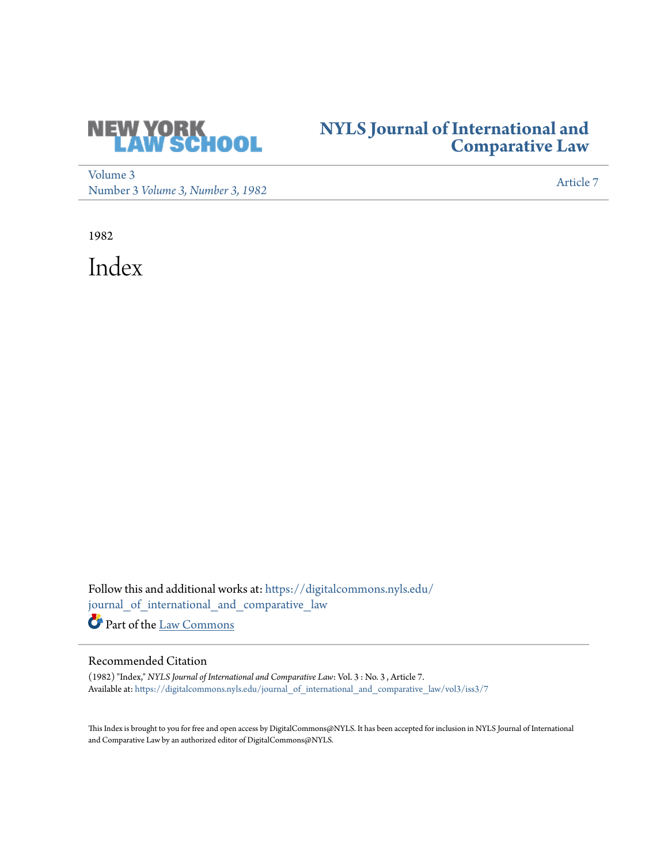

# **[NYLS Journal of International and](https://digitalcommons.nyls.edu/journal_of_international_and_comparative_law?utm_source=digitalcommons.nyls.edu%2Fjournal_of_international_and_comparative_law%2Fvol3%2Fiss3%2F7&utm_medium=PDF&utm_campaign=PDFCoverPages) [Comparative Law](https://digitalcommons.nyls.edu/journal_of_international_and_comparative_law?utm_source=digitalcommons.nyls.edu%2Fjournal_of_international_and_comparative_law%2Fvol3%2Fiss3%2F7&utm_medium=PDF&utm_campaign=PDFCoverPages)**

[Volume 3](https://digitalcommons.nyls.edu/journal_of_international_and_comparative_law/vol3?utm_source=digitalcommons.nyls.edu%2Fjournal_of_international_and_comparative_law%2Fvol3%2Fiss3%2F7&utm_medium=PDF&utm_campaign=PDFCoverPages) volume 3<br>Number 3 *[Volume 3, Number 3, 1982](https://digitalcommons.nyls.edu/journal_of_international_and_comparative_law/vol3/iss3?utm_source=digitalcommons.nyls.edu%2Fjournal_of_international_and_comparative_law%2Fvol3%2Fiss3%2F7&utm_medium=PDF&utm_campaign=PDFCoverPages)* [Article 7](https://digitalcommons.nyls.edu/journal_of_international_and_comparative_law/vol3/iss3/7?utm_source=digitalcommons.nyls.edu%2Fjournal_of_international_and_comparative_law%2Fvol3%2Fiss3%2F7&utm_medium=PDF&utm_campaign=PDFCoverPages)

1982

Index

Follow this and additional works at: [https://digitalcommons.nyls.edu/](https://digitalcommons.nyls.edu/journal_of_international_and_comparative_law?utm_source=digitalcommons.nyls.edu%2Fjournal_of_international_and_comparative_law%2Fvol3%2Fiss3%2F7&utm_medium=PDF&utm_campaign=PDFCoverPages) [journal\\_of\\_international\\_and\\_comparative\\_law](https://digitalcommons.nyls.edu/journal_of_international_and_comparative_law?utm_source=digitalcommons.nyls.edu%2Fjournal_of_international_and_comparative_law%2Fvol3%2Fiss3%2F7&utm_medium=PDF&utm_campaign=PDFCoverPages)

Part of the [Law Commons](http://network.bepress.com/hgg/discipline/578?utm_source=digitalcommons.nyls.edu%2Fjournal_of_international_and_comparative_law%2Fvol3%2Fiss3%2F7&utm_medium=PDF&utm_campaign=PDFCoverPages)

## Recommended Citation

(1982) "Index," *NYLS Journal of International and Comparative Law*: Vol. 3 : No. 3 , Article 7. Available at: [https://digitalcommons.nyls.edu/journal\\_of\\_international\\_and\\_comparative\\_law/vol3/iss3/7](https://digitalcommons.nyls.edu/journal_of_international_and_comparative_law/vol3/iss3/7?utm_source=digitalcommons.nyls.edu%2Fjournal_of_international_and_comparative_law%2Fvol3%2Fiss3%2F7&utm_medium=PDF&utm_campaign=PDFCoverPages)

This Index is brought to you for free and open access by DigitalCommons@NYLS. It has been accepted for inclusion in NYLS Journal of International and Comparative Law by an authorized editor of DigitalCommons@NYLS.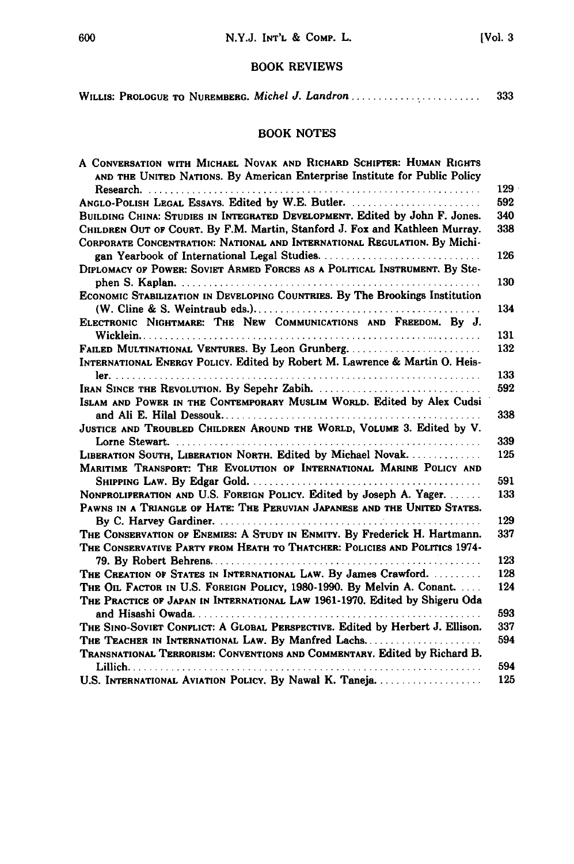### BOOK REVIEWS

|  | WILLIS: PROLOGUE TO NUREMBERG. Michel J. Landron | 333 |
|--|--------------------------------------------------|-----|
|  |                                                  |     |

## BOOK **NOTES**

| A Conversation with Michael Novak and Richard Schipter: Human Rights<br>AND THE UNITED NATIONS. By American Enterprise Institute for Public Policy      |
|---------------------------------------------------------------------------------------------------------------------------------------------------------|
|                                                                                                                                                         |
| ANGLO-POLISH LEGAL ESSAYS. Edited by W.E. Butler.                                                                                                       |
| BUILDING CHINA: STUDIES IN INTEGRATED DEVELOPMENT. Edited by John F. Jones.                                                                             |
| CHILDREN OUT OF COURT. By F.M. Martin, Stanford J. Fox and Kathleen Murray.                                                                             |
| CORPORATE CONCENTRATION: NATIONAL AND INTERNATIONAL REGULATION. By Michi-                                                                               |
| DIPLOMACY OF POWER: SOVIET ARMED FORCES AS A POLITICAL INSTRUMENT. By Ste-                                                                              |
| ECONOMIC STABILIZATION IN DEVELOPING COUNTRIES. By The Brookings Institution<br>$\sim$ .                                                                |
| ELECTRONIC NIGHTMARE: THE NEW COMMUNICATIONS AND FREEDOM. By J.                                                                                         |
| FAILED MULTINATIONAL VENTURES. By Leon Grunberg                                                                                                         |
| INTERNATIONAL ENERGY POLICY. Edited by Robert M. Lawrence & Martin O. Heis-                                                                             |
|                                                                                                                                                         |
| IRAN SINCE THE REVOLUTION. By Sepehr Zabih.                                                                                                             |
| ISLAM AND POWER IN THE CONTEMPORARY MUSLIM WORLD. Edited by Alex Cudsi                                                                                  |
| JUSTICE AND TROUBLED CHILDREN AROUND THE WORLD, VOLUME 3. Edited by V.<br>Lorne Stewart.                                                                |
| LIBERATION SOUTH, LIBERATION NORTH. Edited by Michael Novak.<br>MARITIME TRANSPORT: THE EVOLUTION OF INTERNATIONAL MARINE POLICY AND                    |
| NONPROLIFERATION AND U.S. FOREIGN POLICY. Edited by Joseph A. Yager.                                                                                    |
| PAWNS IN A TRIANGLE OF HATE: THE PERUVIAN JAPANESE AND THE UNITED STATES.                                                                               |
| THE CONSERVATION OF ENEMIES: A STUDY IN ENMITY. By Frederick H. Hartmann.<br>THE CONSERVATIVE PARTY FROM HEATH TO THATCHER: POLICIES AND POLITICS 1974- |
|                                                                                                                                                         |
| THE CREATION OF STATES IN INTERNATIONAL LAW. By James Crawford.                                                                                         |
| THE OIL FACTOR IN U.S. FOREIGN POLICY, 1980-1990. By Melvin A. Conant                                                                                   |
| THE PRACTICE OF JAPAN IN INTERNATIONAL LAW 1961-1970. Edited by Shigeru Oda                                                                             |
| THE SINO-SOVIET CONFLICT: A GLOBAL PERSPECTIVE. Edited by Herbert J. Ellison.                                                                           |
| THE TEACHER IN INTERNATIONAL LAW. By Manfred Lachs                                                                                                      |
| TRANSNATIONAL TERRORISM: CONVENTIONS AND COMMENTARY. Edited by Richard B.                                                                               |
| U.S. INTERNATIONAL AVIATION POLICY. By Nawal K. Taneja                                                                                                  |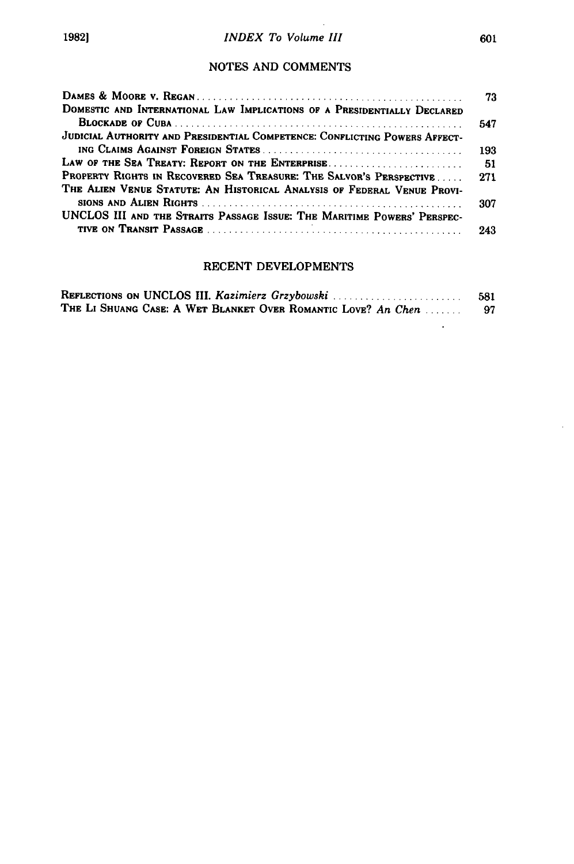#### NOTES AND COMMENTS

|                                                                            | 73   |
|----------------------------------------------------------------------------|------|
| DOMESTIC AND INTERNATIONAL LAW IMPLICATIONS OF A PRESIDENTIALLY DECLARED   |      |
|                                                                            | 547  |
| JUDICIAL AUTHORITY AND PRESIDENTIAL COMPETENCE: CONFLICTING POWERS AFFECT- |      |
|                                                                            | 193  |
| LAW OF THE SEA TREATY: REPORT ON THE ENTERPRISE                            | - 51 |
| PROPERTY RIGHTS IN RECOVERED SEA TREASURE: THE SALVOR'S PRRSPRCTIVE  271   |      |
| THE ALIEN VENUE STATUTE: AN HISTORICAL ANALYSIS OF FEDERAL VENUE PROVI-    |      |
|                                                                            | 307  |
| UNCLOS III AND THE STRAITS PASSAGE ISSUE: THE MARITIME POWERS' PERSPEC-    |      |
|                                                                            | 243  |
|                                                                            |      |

#### **RECENT DEVELOPMENTS**

| REFLECTIONS ON UNCLOS III. Kazimierz Grzybowski               | 581 |
|---------------------------------------------------------------|-----|
| THE LI SHUANG CASE: A WET BLANKET OVER ROMANTIC LOVE? An Chen | 97  |

 $\ddot{\phantom{0}}$ 

 $\ddot{\phantom{1}}$